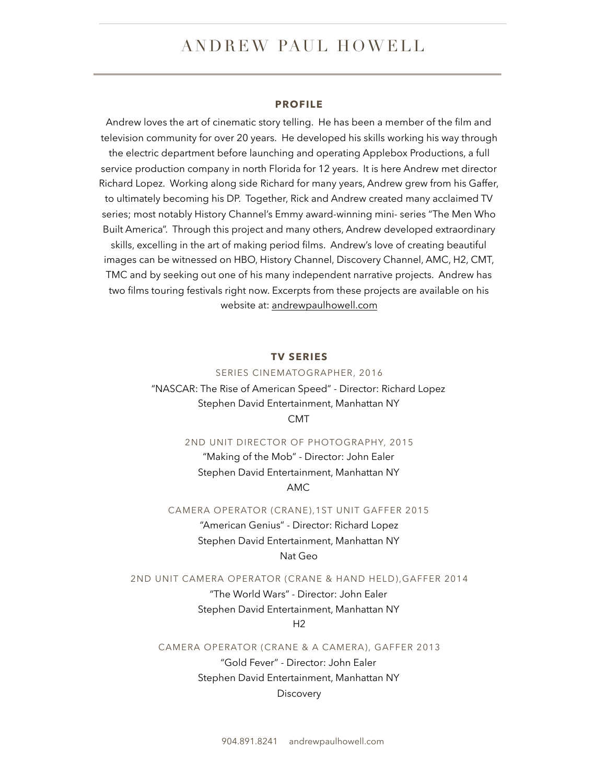# ANDREW PAUL HOWELL

### **PROFILE**

Andrew loves the art of cinematic story telling. He has been a member of the film and television community for over 20 years. He developed his skills working his way through the electric department before launching and operating Applebox Productions, a full service production company in north Florida for 12 years. It is here Andrew met director Richard Lopez. Working along side Richard for many years, Andrew grew from his Gaffer, to ultimately becoming his DP. Together, Rick and Andrew created many acclaimed TV series; most notably History Channel's Emmy award-winning mini- series "The Men Who Built America". Through this project and many others, Andrew developed extraordinary skills, excelling in the art of making period films. Andrew's love of creating beautiful images can be witnessed on HBO, History Channel, Discovery Channel, AMC, H2, CMT, TMC and by seeking out one of his many independent narrative projects. Andrew has two films touring festivals right now. Excerpts from these projects are available on his website at: [andrewpaulhowell.com](http://andrewpaulhowell.com)

### **TV SERIES**

SERIES CINEMATOGRAPHER, 2016 "NASCAR: The Rise of American Speed" - Director: Richard Lopez Stephen David Entertainment, Manhattan NY CMT

### 2ND UNIT DIRECTOR OF PHOTOGRAPHY, 2015

"Making of the Mob" - Director: John Ealer Stephen David Entertainment, Manhattan NY AMC

CAMERA OPERATOR (CRANE),1ST UNIT GAFFER 2015

"American Genius" - Director: Richard Lopez Stephen David Entertainment, Manhattan NY Nat Geo

### 2ND UNIT CAMERA OPERATOR (CRANE & HAND HELD),GAFFER 2014

"The World Wars" - Director: John Ealer Stephen David Entertainment, Manhattan NY  $H<sub>2</sub>$ 

CAMERA OPERATOR (CRANE & A CAMERA), GAFFER 2013

"Gold Fever" - Director: John Ealer Stephen David Entertainment, Manhattan NY **Discovery**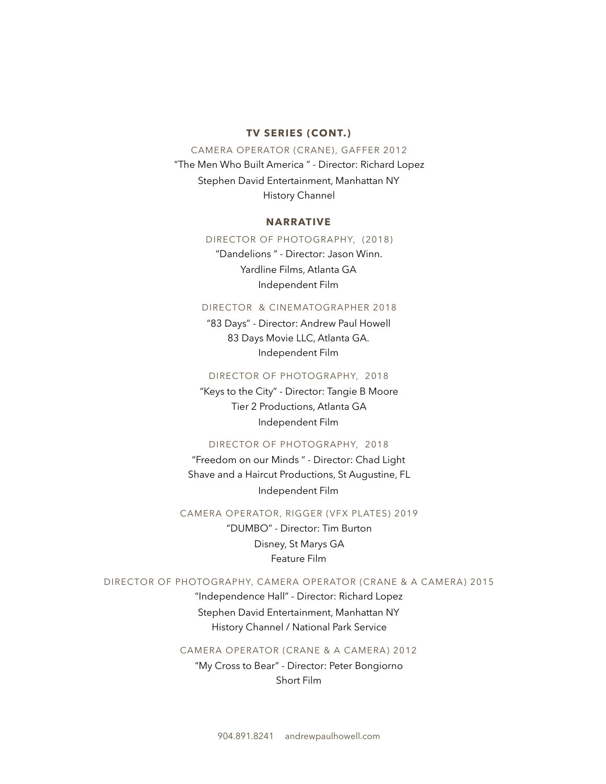### **TV SERIES (CONT.)**

### CAMERA OPERATOR (CRANE), GAFFER 2012

"The Men Who Built America " - Director: Richard Lopez Stephen David Entertainment, Manhattan NY History Channel

### **NARRATIVE**

### DIRECTOR OF PHOTOGRAPHY, (2018)

"Dandelions " - Director: Jason Winn. Yardline Films, Atlanta GA Independent Film

### DIRECTOR & CINEMATOGRAPHER 2018

"83 Days" - Director: Andrew Paul Howell 83 Days Movie LLC, Atlanta GA. Independent Film

### DIRECTOR OF PHOTOGRAPHY, 2018

"Keys to the City" - Director: Tangie B Moore Tier 2 Productions, Atlanta GA Independent Film

### DIRECTOR OF PHOTOGRAPHY, 2018

"Freedom on our Minds " - Director: Chad Light Shave and a Haircut Productions, St Augustine, FL Independent Film

### CAMERA OPERATOR, RIGGER (VFX PLATES) 2019

"DUMBO" - Director: Tim Burton Disney, St Marys GA Feature Film

### DIRECTOR OF PHOTOGRAPHY, CAMERA OPERATOR (CRANE & A CAMERA) 2015

"Independence Hall" - Director: Richard Lopez Stephen David Entertainment, Manhattan NY History Channel / National Park Service

# CAMERA OPERATOR (CRANE & A CAMERA) 2012

"My Cross to Bear" - Director: Peter Bongiorno Short Film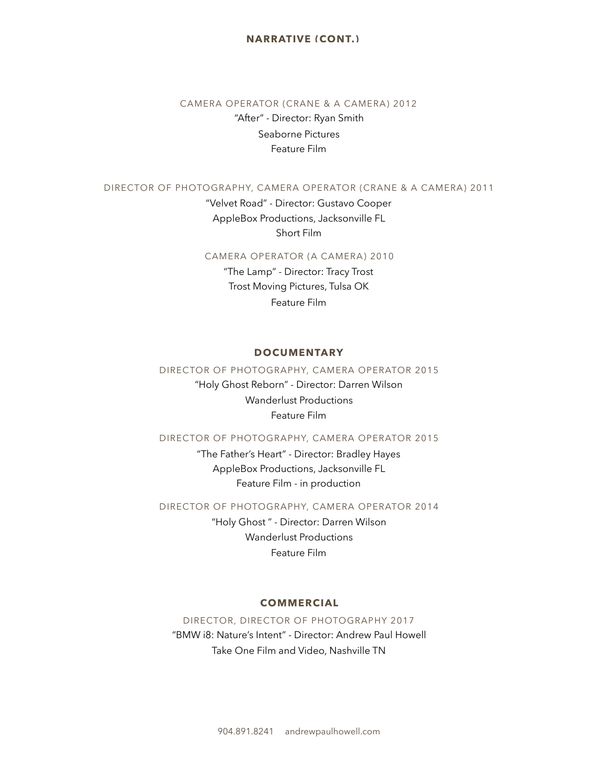# **NARRATIVE (CONT.)**

# CAMERA OPERATOR (CRANE & A CAMERA) 2012 "After" - Director: Ryan Smith Seaborne Pictures Feature Film

# DIRECTOR OF PHOTOGRAPHY, CAMERA OPERATOR (CRANE & A CAMERA) 2011

"Velvet Road" - Director: Gustavo Cooper AppleBox Productions, Jacksonville FL Short Film

### CAMERA OPERATOR (A CAMERA) 2010

"The Lamp" - Director: Tracy Trost Trost Moving Pictures, Tulsa OK Feature Film

### **DOCUMENTARY**

### DIRECTOR OF PHOTOGRAPHY, CAMERA OPERATOR 2015

"Holy Ghost Reborn" - Director: Darren Wilson Wanderlust Productions Feature Film

# DIRECTOR OF PHOTOGRAPHY, CAMERA OPERATOR 2015

"The Father's Heart" - Director: Bradley Hayes AppleBox Productions, Jacksonville FL Feature Film - in production

DIRECTOR OF PHOTOGRAPHY, CAMERA OPERATOR 2014

"Holy Ghost " - Director: Darren Wilson Wanderlust Productions Feature Film

# **COMMERCIAL**

DIRECTOR, DIRECTOR OF PHOTOGRAPHY 2017 "BMW i8: Nature's Intent" - Director: Andrew Paul Howell Take One Film and Video, Nashville TN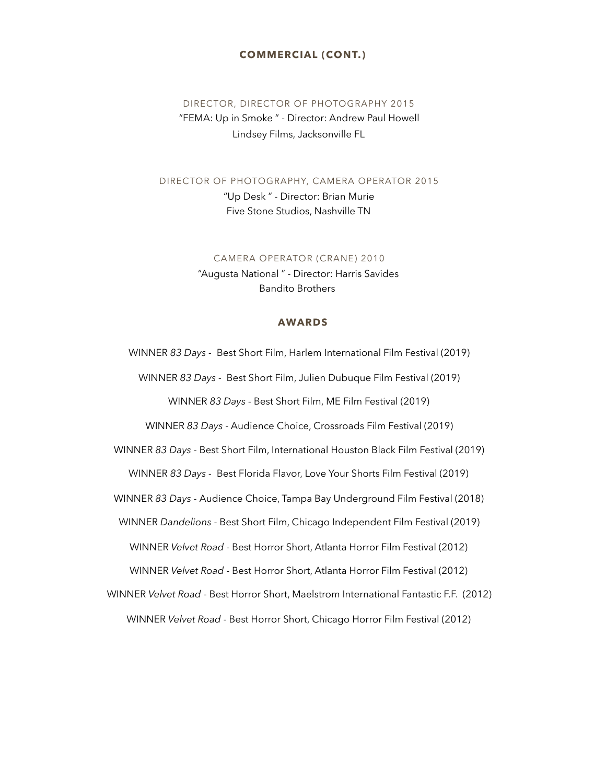# **COMMERCIAL (CONT.)**

# DIRECTOR, DIRECTOR OF PHOTOGRAPHY 2015 "FEMA: Up in Smoke " - Director: Andrew Paul Howell Lindsey Films, Jacksonville FL

#### DIRECTOR OF PHOTOGRAPHY, CAMERA OPERATOR 2015

"Up Desk " - Director: Brian Murie Five Stone Studios, Nashville TN

#### CAMERA OPERATOR (CRANE) 2010

"Augusta National " - Director: Harris Savides Bandito Brothers

### **AWARDS**

WINNER *83 Days -* Best Short Film, Harlem International Film Festival (2019) WINNER *83 Days -* Best Short Film, Julien Dubuque Film Festival (2019) WINNER *83 Days* - Best Short Film, ME Film Festival (2019)

WINNER *83 Days* - Audience Choice, Crossroads Film Festival (2019)

WINNER *83 Days* - Best Short Film, International Houston Black Film Festival (2019)

WINNER *83 Days -* Best Florida Flavor, Love Your Shorts Film Festival (2019)

WINNER *83 Days -* Audience Choice, Tampa Bay Underground Film Festival (2018)

WINNER *Dandelions* - Best Short Film, Chicago Independent Film Festival (2019)

WINNER *Velvet Road* - Best Horror Short, Atlanta Horror Film Festival (2012)

WINNER *Velvet Road* - Best Horror Short, Atlanta Horror Film Festival (2012)

WINNER *Velvet Road* - Best Horror Short, Maelstrom International Fantastic F.F. (2012)

WINNER *Velvet Road* - Best Horror Short, Chicago Horror Film Festival (2012)